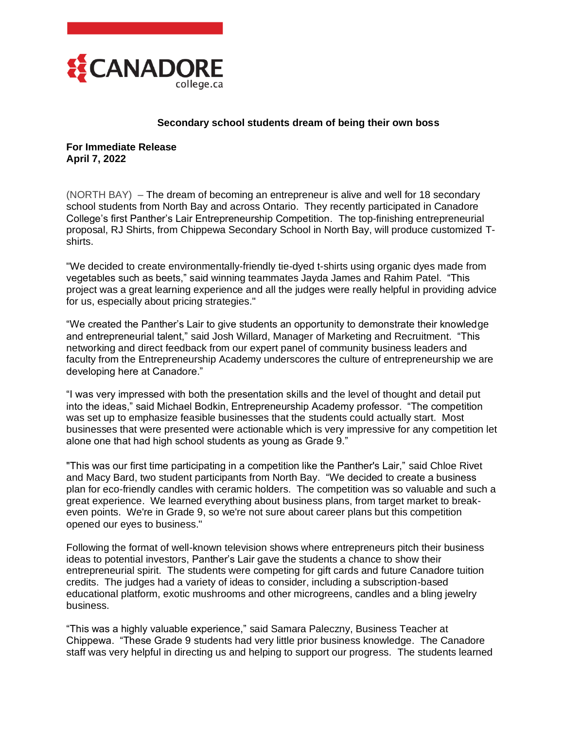

## **Secondary school students dream of being their own boss**

**For Immediate Release April 7, 2022**

(NORTH BAY) – The dream of becoming an entrepreneur is alive and well for 18 secondary school students from North Bay and across Ontario. They recently participated in Canadore College's first Panther's Lair Entrepreneurship Competition. The top-finishing entrepreneurial proposal, RJ Shirts, from Chippewa Secondary School in North Bay, will produce customized Tshirts.

"We decided to create environmentally-friendly tie-dyed t-shirts using organic dyes made from vegetables such as beets," said winning teammates Jayda James and Rahim Patel. "This project was a great learning experience and all the judges were really helpful in providing advice for us, especially about pricing strategies."

"We created the Panther's Lair to give students an opportunity to demonstrate their knowledge and entrepreneurial talent," said Josh Willard, Manager of Marketing and Recruitment. "This networking and direct feedback from our expert panel of community business leaders and faculty from the Entrepreneurship Academy underscores the culture of entrepreneurship we are developing here at Canadore."

"I was very impressed with both the presentation skills and the level of thought and detail put into the ideas," said Michael Bodkin, Entrepreneurship Academy professor. "The competition was set up to emphasize feasible businesses that the students could actually start. Most businesses that were presented were actionable which is very impressive for any competition let alone one that had high school students as young as Grade 9."

"This was our first time participating in a competition like the Panther's Lair," said Chloe Rivet and Macy Bard, two student participants from North Bay. "We decided to create a business plan for eco-friendly candles with ceramic holders. The competition was so valuable and such a great experience. We learned everything about business plans, from target market to breakeven points. We're in Grade 9, so we're not sure about career plans but this competition opened our eyes to business."

Following the format of well-known television shows where entrepreneurs pitch their business ideas to potential investors, Panther's Lair gave the students a chance to show their entrepreneurial spirit. The students were competing for gift cards and future Canadore tuition credits. The judges had a variety of ideas to consider, including a subscription-based educational platform, exotic mushrooms and other microgreens, candles and a bling jewelry business.

"This was a highly valuable experience," said Samara Paleczny, Business Teacher at Chippewa. "These Grade 9 students had very little prior business knowledge. The Canadore staff was very helpful in directing us and helping to support our progress. The students learned